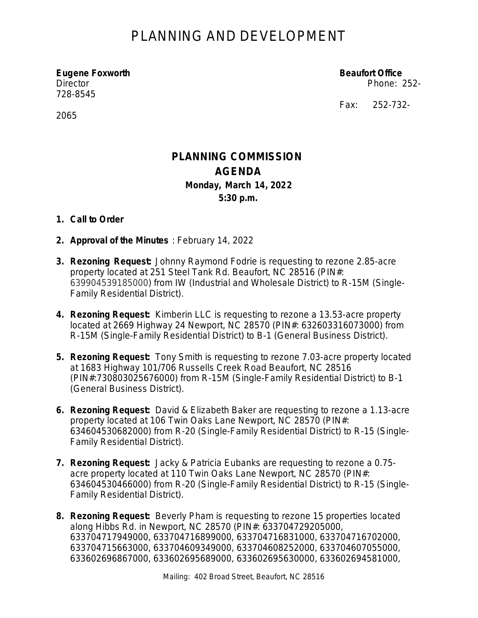## PLANNING AND DEVELOPMENT

**Eugene Foxworth Beaufort Office** Director Phone: 252- 728-8545

Fax: 252-732-

2065

### **PLANNING COMMISSION AGENDA Monday, March 14, 2022 5:30 p.m.**

#### **1. Call to Order**

- **2. Approval of the Minutes** : February 14, 2022
- **3. Rezoning Request:** Johnny Raymond Fodrie is requesting to rezone 2.85-acre property located at 251 Steel Tank Rd. Beaufort, NC 28516 (PIN#: 639904539185000) from IW (Industrial and Wholesale District) to R-15M (Single-Family Residential District).
- **4. Rezoning Request:** Kimberin LLC is requesting to rezone a 13.53-acre property located at 2669 Highway 24 Newport, NC 28570 (PIN#: 632603316073000) from R-15M (Single-Family Residential District) to B-1 (General Business District).
- **5. Rezoning Request:** Tony Smith is requesting to rezone 7.03-acre property located at 1683 Highway 101/706 Russells Creek Road Beaufort, NC 28516 (PIN#:730803025676000) from R-15M (Single-Family Residential District) to B-1 (General Business District).
- **6. Rezoning Request:** David & Elizabeth Baker are requesting to rezone a 1.13-acre property located at 106 Twin Oaks Lane Newport, NC 28570 (PIN#: 634604530682000) from R-20 (Single-Family Residential District) to R-15 (Single-Family Residential District).
- **7. Rezoning Request:** Jacky & Patricia Eubanks are requesting to rezone a 0.75 acre property located at 110 Twin Oaks Lane Newport, NC 28570 (PIN#: 634604530466000) from R-20 (Single-Family Residential District) to R-15 (Single-Family Residential District).
- **8. Rezoning Request:** Beverly Pham is requesting to rezone 15 properties located along Hibbs Rd. in Newport, NC 28570 (PIN#: 633704729205000, 633704717949000, 633704716899000, 633704716831000, 633704716702000, 633704715663000, 633704609349000, 633704608252000, 633704607055000, 633602696867000, 633602695689000, 633602695630000, 633602694581000,